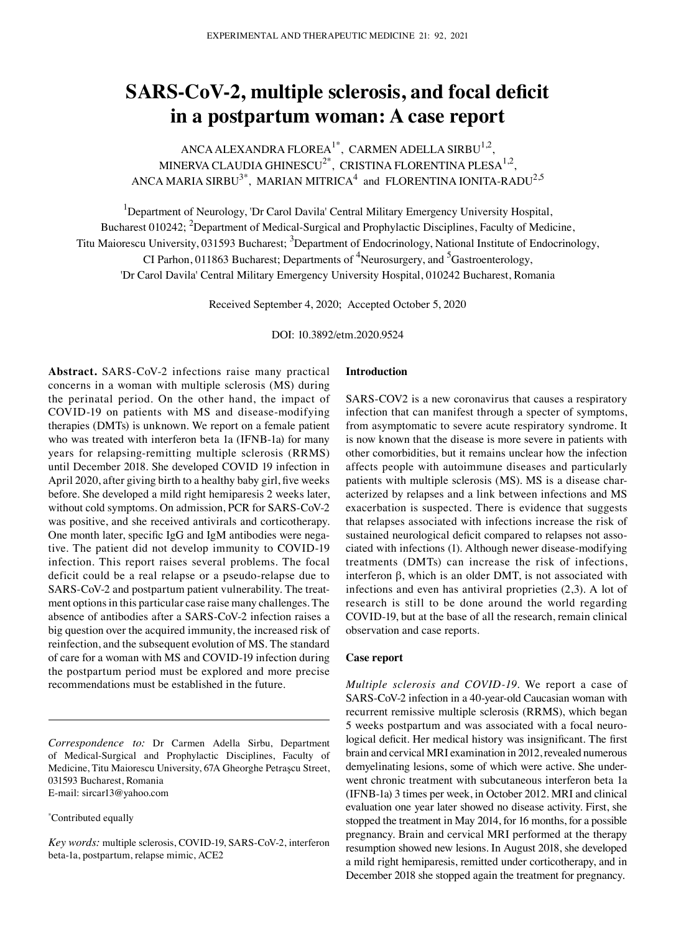# **SARS‑CoV‑2, multiple sclerosis, and focal deficit in a postpartum woman: A case report**

ANCA ALEXANDRA FLOREA $^{1\text{*}},$  CARMEN ADELLA SIRBU $^{1,2},$ MINERVA CLAUDIA GHINESCU<sup>2\*</sup>, CRISTINA FLORENTINA PLESA<sup>1,2</sup>, ANCA MARIA SIRBU $^{3*}$ , MARIAN MITRICA $^{4}$  and FLORENTINA IONITA-RADU $^{2,5}$ 

<sup>1</sup>Department of Neurology, 'Dr Carol Davila' Central Military Emergency University Hospital, Bucharest 010242; <sup>2</sup>Department of Medical-Surgical and Prophylactic Disciplines, Faculty of Medicine, Titu Maiorescu University, 031593 Bucharest; <sup>3</sup>Department of Endocrinology, National Institute of Endocrinology, CI Parhon, 011863 Bucharest; Departments of <sup>4</sup>Neurosurgery, and <sup>5</sup>Gastroenterology, 'Dr Carol Davila' Central Military Emergency University Hospital, 010242 Bucharest, Romania

Received September 4, 2020; Accepted October 5, 2020

DOI: 10.3892/etm.2020.9524

Abstract. SARS-CoV-2 infections raise many practical concerns in a woman with multiple sclerosis (MS) during the perinatal period. On the other hand, the impact of COVID-19 on patients with MS and disease-modifying therapies (DMTs) is unknown. We report on a female patient who was treated with interferon beta 1a (IFNB-1a) for many years for relapsing‑remitting multiple sclerosis (RRMS) until December 2018. She developed COVID 19 infection in April 2020, after giving birth to a healthy baby girl, five weeks before. She developed a mild right hemiparesis 2 weeks later, without cold symptoms. On admission, PCR for SARS-CoV-2 was positive, and she received antivirals and corticotherapy. One month later, specific IgG and IgM antibodies were negative. The patient did not develop immunity to COVID-19 infection. This report raises several problems. The focal deficit could be a real relapse or a pseudo-relapse due to SARS-CoV-2 and postpartum patient vulnerability. The treatment options in this particular case raise many challenges. The absence of antibodies after a SARS-CoV-2 infection raises a big question over the acquired immunity, the increased risk of reinfection, and the subsequent evolution of MS. The standard of care for a woman with MS and COVID-19 infection during the postpartum period must be explored and more precise recommendations must be established in the future.

*Correspondence to:* Dr Carmen Adella Sirbu, Department of Medical-Surgical and Prophylactic Disciplines, Faculty of Medicine, Titu Maiorescu University, 67A Gheorghe Petraşcu Street, 031593 Bucharest, Romania E‑mail: sircar13@yahoo.com

\* Contributed equally

*Key words:* multiple sclerosis, COVID-19, SARS‑CoV‑2, interferon beta‑1a, postpartum, relapse mimic, ACE2

#### **Introduction**

SARS-COV2 is a new coronavirus that causes a respiratory infection that can manifest through a specter of symptoms, from asymptomatic to severe acute respiratory syndrome. It is now known that the disease is more severe in patients with other comorbidities, but it remains unclear how the infection affects people with autoimmune diseases and particularly patients with multiple sclerosis (MS). MS is a disease characterized by relapses and a link between infections and MS exacerbation is suspected. There is evidence that suggests that relapses associated with infections increase the risk of sustained neurological deficit compared to relapses not associated with infections (1). Although newer disease‑modifying treatments (DMTs) can increase the risk of infections, interferon β, which is an older DMT, is not associated with infections and even has antiviral proprieties (2,3). A lot of research is still to be done around the world regarding COVID-19, but at the base of all the research, remain clinical observation and case reports.

# **Case report**

*Multiple sclerosis and COVID-19.* We report a case of SARS–CoV–2 infection in a 40-year-old Caucasian woman with recurrent remissive multiple sclerosis (RRMS), which began 5 weeks postpartum and was associated with a focal neuro‑ logical deficit. Her medical history was insignificant. The first brain and cervical MRI examination in 2012, revealed numerous demyelinating lesions, some of which were active. She underwent chronic treatment with subcutaneous interferon beta 1a (IFNB‑1a) 3 times per week, in October 2012. MRI and clinical evaluation one year later showed no disease activity. First, she stopped the treatment in May 2014, for 16 months, for a possible pregnancy. Brain and cervical MRI performed at the therapy resumption showed new lesions. In August 2018, she developed a mild right hemiparesis, remitted under corticotherapy, and in December 2018 she stopped again the treatment for pregnancy.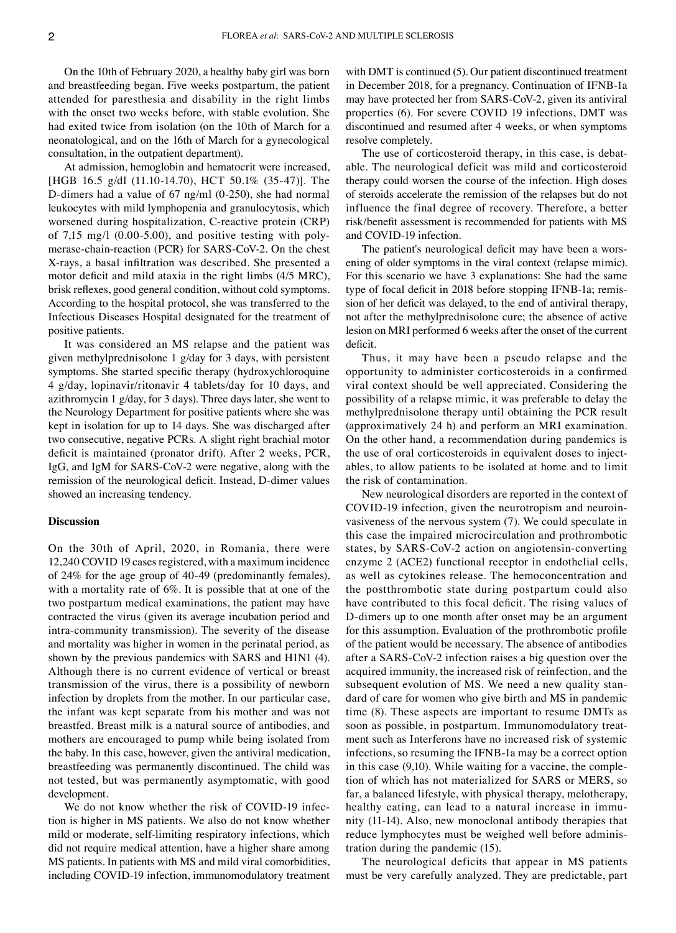On the 10th of February 2020, a healthy baby girl was born and breastfeeding began. Five weeks postpartum, the patient attended for paresthesia and disability in the right limbs with the onset two weeks before, with stable evolution. She had exited twice from isolation (on the 10th of March for a neonatological, and on the 16th of March for a gynecological consultation, in the outpatient department).

At admission, hemoglobin and hematocrit were increased, [HGB 16.5 g/dl (11.10-14.70), HCT 50.1% (35-47)]. The D‑dimers had a value of 67 ng/ml (0‑250), she had normal leukocytes with mild lymphopenia and granulocytosis, which worsened during hospitalization, C-reactive protein (CRP) of 7,15 mg/l  $(0.00-5.00)$ , and positive testing with polymerase-chain-reaction (PCR) for SARS-CoV-2. On the chest X‑rays, a basal infiltration was described. She presented a motor deficit and mild ataxia in the right limbs (4/5 MRC), brisk reflexes, good general condition, without cold symptoms. According to the hospital protocol, she was transferred to the Infectious Diseases Hospital designated for the treatment of positive patients.

It was considered an MS relapse and the patient was given methylprednisolone 1 g/day for 3 days, with persistent symptoms. She started specific therapy (hydroxychloroquine 4 g/day, lopinavir/ritonavir 4 tablets/day for 10 days, and azithromycin 1 g/day, for 3 days). Three days later, she went to the Neurology Department for positive patients where she was kept in isolation for up to 14 days. She was discharged after two consecutive, negative PCRs. A slight right brachial motor deficit is maintained (pronator drift). After 2 weeks, PCR, IgG, and IgM for SARS‑CoV‑2 were negative, along with the remission of the neurological deficit. Instead, D-dimer values showed an increasing tendency.

#### **Discussion**

On the 30th of April, 2020, in Romania, there were 12,240 COVID 19 cases registered, with a maximum incidence of 24% for the age group of 40‑49 (predominantly females), with a mortality rate of 6%. It is possible that at one of the two postpartum medical examinations, the patient may have contracted the virus (given its average incubation period and intra-community transmission). The severity of the disease and mortality was higher in women in the perinatal period, as shown by the previous pandemics with SARS and H1N1 (4). Although there is no current evidence of vertical or breast transmission of the virus, there is a possibility of newborn infection by droplets from the mother. In our particular case, the infant was kept separate from his mother and was not breastfed. Breast milk is a natural source of antibodies, and mothers are encouraged to pump while being isolated from the baby. In this case, however, given the antiviral medication, breastfeeding was permanently discontinued. The child was not tested, but was permanently asymptomatic, with good development.

We do not know whether the risk of COVID-19 infection is higher in MS patients. We also do not know whether mild or moderate, self-limiting respiratory infections, which did not require medical attention, have a higher share among MS patients. In patients with MS and mild viral comorbidities, including COVID-19 infection, immunomodulatory treatment with DMT is continued (5). Our patient discontinued treatment in December 2018, for a pregnancy. Continuation of IFNB-1a may have protected her from SARS‑CoV‑2, given its antiviral properties (6). For severe COVID 19 infections, DMT was discontinued and resumed after 4 weeks, or when symptoms resolve completely.

The use of corticosteroid therapy, in this case, is debatable. The neurological deficit was mild and corticosteroid therapy could worsen the course of the infection. High doses of steroids accelerate the remission of the relapses but do not influence the final degree of recovery. Therefore, a better risk/benefit assessment is recommended for patients with MS and COVID-19 infection.

The patient's neurological deficit may have been a worsening of older symptoms in the viral context (relapse mimic). For this scenario we have 3 explanations: She had the same type of focal deficit in 2018 before stopping IFNB-1a; remission of her deficit was delayed, to the end of antiviral therapy, not after the methylprednisolone cure; the absence of active lesion on MRI performed 6 weeks after the onset of the current deficit.

Thus, it may have been a pseudo relapse and the opportunity to administer corticosteroids in a confirmed viral context should be well appreciated. Considering the possibility of a relapse mimic, it was preferable to delay the methylprednisolone therapy until obtaining the PCR result (approximatively 24 h) and perform an MRI examination. On the other hand, a recommendation during pandemics is the use of oral corticosteroids in equivalent doses to injectables, to allow patients to be isolated at home and to limit the risk of contamination.

New neurological disorders are reported in the context of COVID-19 infection, given the neurotropism and neuroinvasiveness of the nervous system (7). We could speculate in this case the impaired microcirculation and prothrombotic states, by SARS‑CoV‑2 action on angiotensin‑converting enzyme 2 (ACE2) functional receptor in endothelial cells, as well as cytokines release. The hemoconcentration and the postthrombotic state during postpartum could also have contributed to this focal deficit. The rising values of D‑dimers up to one month after onset may be an argument for this assumption. Evaluation of the prothrombotic profile of the patient would be necessary. The absence of antibodies after a SARS‑CoV‑2 infection raises a big question over the acquired immunity, the increased risk of reinfection, and the subsequent evolution of MS. We need a new quality standard of care for women who give birth and MS in pandemic time (8). These aspects are important to resume DMTs as soon as possible, in postpartum. Immunomodulatory treatment such as Interferons have no increased risk of systemic infections, so resuming the IFNB‑1a may be a correct option in this case  $(9,10)$ . While waiting for a vaccine, the completion of which has not materialized for SARS or MERS, so far, a balanced lifestyle, with physical therapy, melotherapy, healthy eating, can lead to a natural increase in immunity (11‑14). Also, new monoclonal antibody therapies that reduce lymphocytes must be weighed well before administration during the pandemic (15).

The neurological deficits that appear in MS patients must be very carefully analyzed. They are predictable, part